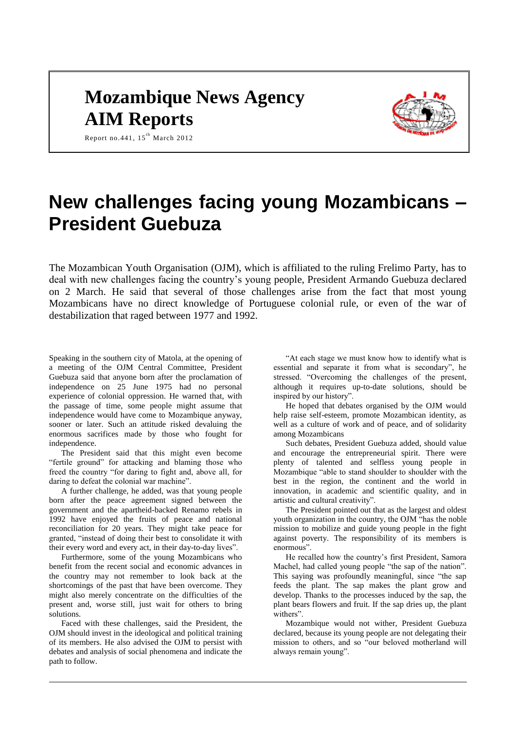# **Mozambique News Agency AIM Reports**



Report no. 441,  $15^{\text{th}}$  March 2012

# **New challenges facing young Mozambicans – President Guebuza**

The Mozambican Youth Organisation (OJM), which is affiliated to the ruling Frelimo Party, has to deal with new challenges facing the country's young people, President Armando Guebuza declared on 2 March. He said that several of those challenges arise from the fact that most young Mozambicans have no direct knowledge of Portuguese colonial rule, or even of the war of destabilization that raged between 1977 and 1992.

Speaking in the southern city of Matola, at the opening of a meeting of the OJM Central Committee, President Guebuza said that anyone born after the proclamation of independence on 25 June 1975 had no personal experience of colonial oppression. He warned that, with the passage of time, some people might assume that independence would have come to Mozambique anyway, sooner or later. Such an attitude risked devaluing the enormous sacrifices made by those who fought for independence.

The President said that this might even become "fertile ground" for attacking and blaming those who freed the country "for daring to fight and, above all, for daring to defeat the colonial war machine".

A further challenge, he added, was that young people born after the peace agreement signed between the government and the apartheid-backed Renamo rebels in 1992 have enjoyed the fruits of peace and national reconciliation for 20 years. They might take peace for granted, "instead of doing their best to consolidate it with their every word and every act, in their day-to-day lives".

Furthermore, some of the young Mozambicans who benefit from the recent social and economic advances in the country may not remember to look back at the shortcomings of the past that have been overcome. They might also merely concentrate on the difficulties of the present and, worse still, just wait for others to bring solutions.

Faced with these challenges, said the President, the OJM should invest in the ideological and political training of its members. He also advised the OJM to persist with debates and analysis of social phenomena and indicate the path to follow.

"At each stage we must know how to identify what is essential and separate it from what is secondary", he stressed. "Overcoming the challenges of the present, although it requires up-to-date solutions, should be inspired by our history".

He hoped that debates organised by the OJM would help raise self-esteem, promote Mozambican identity, as well as a culture of work and of peace, and of solidarity among Mozambicans

Such debates, President Guebuza added, should value and encourage the entrepreneurial spirit. There were plenty of talented and selfless young people in Mozambique "able to stand shoulder to shoulder with the best in the region, the continent and the world in innovation, in academic and scientific quality, and in artistic and cultural creativity".

The President pointed out that as the largest and oldest youth organization in the country, the OJM "has the noble mission to mobilize and guide young people in the fight against poverty. The responsibility of its members is enormous".

He recalled how the country's first President, Samora Machel, had called young people "the sap of the nation". This saying was profoundly meaningful, since "the sap feeds the plant. The sap makes the plant grow and develop. Thanks to the processes induced by the sap, the plant bears flowers and fruit. If the sap dries up, the plant withers".

Mozambique would not wither, President Guebuza declared, because its young people are not delegating their mission to others, and so "our beloved motherland will always remain young".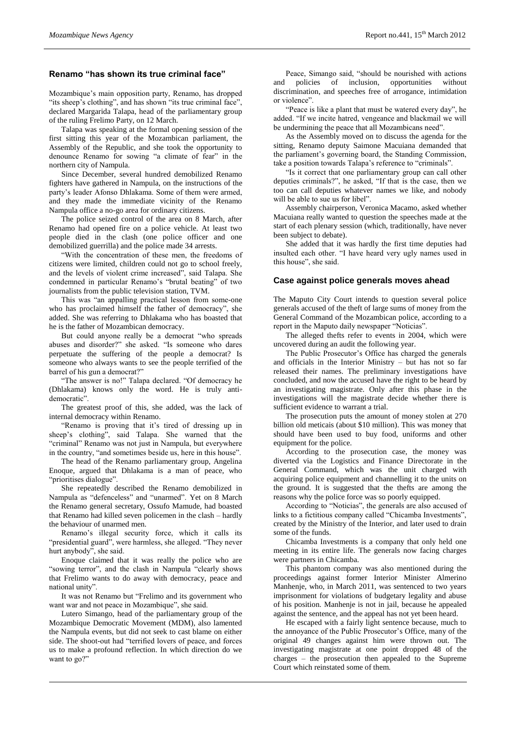#### **Renamo "has shown its true criminal face"**

Mozambique's main opposition party, Renamo, has dropped "its sheep's clothing", and has shown "its true criminal face", declared Margarida Talapa, head of the parliamentary group of the ruling Frelimo Party, on 12 March.

Talapa was speaking at the formal opening session of the first sitting this year of the Mozambican parliament, the Assembly of the Republic, and she took the opportunity to denounce Renamo for sowing "a climate of fear" in the northern city of Nampula.

Since December, several hundred demobilized Renamo fighters have gathered in Nampula, on the instructions of the party's leader Afonso Dhlakama. Some of them were armed, and they made the immediate vicinity of the Renamo Nampula office a no-go area for ordinary citizens.

The police seized control of the area on 8 March, after Renamo had opened fire on a police vehicle. At least two people died in the clash (one police officer and one demobilized guerrilla) and the police made 34 arrests.

"With the concentration of these men, the freedoms of citizens were limited, children could not go to school freely, and the levels of violent crime increased", said Talapa. She condemned in particular Renamo's "brutal beating" of two journalists from the public television station, TVM.

This was "an appalling practical lesson from some-one who has proclaimed himself the father of democracy", she added. She was referring to Dhlakama who has boasted that he is the father of Mozambican democracy.

But could anyone really be a democrat "who spreads abuses and disorder?" she asked. "Is someone who dares perpetuate the suffering of the people a democrat? Is someone who always wants to see the people terrified of the barrel of his gun a democrat?"

"The answer is no!" Talapa declared. "Of democracy he (Dhlakama) knows only the word. He is truly antidemocratic".

The greatest proof of this, she added, was the lack of internal democracy within Renamo.

"Renamo is proving that it's tired of dressing up in sheep's clothing", said Talapa. She warned that the "criminal" Renamo was not just in Nampula, but everywhere in the country, "and sometimes beside us, here in this house".

The head of the Renamo parliamentary group, Angelina Enoque, argued that Dhlakama is a man of peace, who "prioritises dialogue".

She repeatedly described the Renamo demobilized in Nampula as "defenceless" and "unarmed". Yet on 8 March the Renamo general secretary, Ossufo Mamude, had boasted that Renamo had killed seven policemen in the clash – hardly the behaviour of unarmed men.

Renamo's illegal security force, which it calls its "presidential guard", were harmless, she alleged. "They never hurt anybody", she said.

Enoque claimed that it was really the police who are "sowing terror", and the clash in Nampula "clearly shows that Frelimo wants to do away with democracy, peace and national unity".

It was not Renamo but "Frelimo and its government who want war and not peace in Mozambique", she said.

Lutero Simango, head of the parliamentary group of the Mozambique Democratic Movement (MDM), also lamented the Nampula events, but did not seek to cast blame on either side. The shoot-out had "terrified lovers of peace, and forces us to make a profound reflection. In which direction do we want to go?"

Peace, Simango said, "should be nourished with actions and policies of inclusion, opportunities without discrimination, and speeches free of arrogance, intimidation or violence".

"Peace is like a plant that must be watered every day", he added. "If we incite hatred, vengeance and blackmail we will be undermining the peace that all Mozambicans need".

As the Assembly moved on to discuss the agenda for the sitting, Renamo deputy Saimone Macuiana demanded that the parliament's governing board, the Standing Commission, take a position towards Talapa's reference to "criminals".

"Is it correct that one parliamentary group can call other deputies criminals?", he asked, "If that is the case, then we too can call deputies whatever names we like, and nobody will be able to sue us for libel".

Assembly chairperson, Veronica Macamo, asked whether Macuiana really wanted to question the speeches made at the start of each plenary session (which, traditionally, have never been subject to debate).

She added that it was hardly the first time deputies had insulted each other. "I have heard very ugly names used in this house", she said.

#### **Case against police generals moves ahead**

The Maputo City Court intends to question several police generals accused of the theft of large sums of money from the General Command of the Mozambican police, according to a report in the Maputo daily newspaper "Noticias".

The alleged thefts refer to events in 2004, which were uncovered during an audit the following year.

The Public Prosecutor's Office has charged the generals and officials in the Interior Ministry – but has not so far released their names. The preliminary investigations have concluded, and now the accused have the right to be heard by an investigating magistrate. Only after this phase in the investigations will the magistrate decide whether there is sufficient evidence to warrant a trial.

The prosecution puts the amount of money stolen at 270 billion old meticais (about \$10 million). This was money that should have been used to buy food, uniforms and other equipment for the police.

According to the prosecution case, the money was diverted via the Logistics and Finance Directorate in the General Command, which was the unit charged with acquiring police equipment and channelling it to the units on the ground. It is suggested that the thefts are among the reasons why the police force was so poorly equipped.

According to "Noticias", the generals are also accused of links to a fictitious company called "Chicamba Investments", created by the Ministry of the Interior, and later used to drain some of the funds.

Chicamba Investments is a company that only held one meeting in its entire life. The generals now facing charges were partners in Chicamba.

This phantom company was also mentioned during the proceedings against former Interior Minister Almerino Manhenie, who, in March 2011, was sentenced to two years imprisonment for violations of budgetary legality and abuse of his position. Manhenje is not in jail, because he appealed against the sentence, and the appeal has not yet been heard.

He escaped with a fairly light sentence because, much to the annoyance of the Public Prosecutor's Office, many of the original 49 changes against him were thrown out. The investigating magistrate at one point dropped 48 of the charges – the prosecution then appealed to the Supreme Court which reinstated some of them.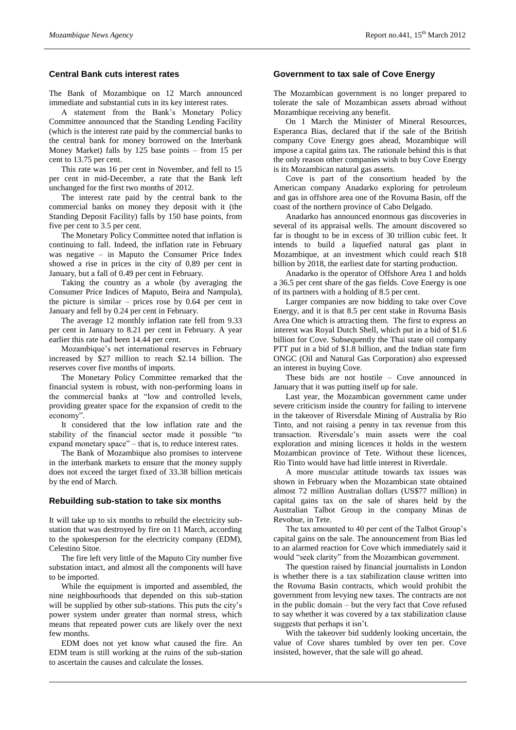## **Central Bank cuts interest rates**

The Bank of Mozambique on 12 March announced immediate and substantial cuts in its key interest rates.

A statement from the Bank's Monetary Policy Committee announced that the Standing Lending Facility (which is the interest rate paid by the commercial banks to the central bank for money borrowed on the Interbank Money Market) falls by 125 base points – from 15 per cent to 13.75 per cent.

This rate was 16 per cent in November, and fell to 15 per cent in mid-December, a rate that the Bank left unchanged for the first two months of 2012.

The interest rate paid by the central bank to the commercial banks on money they deposit with it (the Standing Deposit Facility) falls by 150 base points, from five per cent to 3.5 per cent.

The Monetary Policy Committee noted that inflation is continuing to fall. Indeed, the inflation rate in February was negative – in Maputo the Consumer Price Index showed a rise in prices in the city of 0.89 per cent in January, but a fall of 0.49 per cent in February.

Taking the country as a whole (by averaging the Consumer Price Indices of Maputo, Beira and Nampula), the picture is similar – prices rose by 0.64 per cent in January and fell by 0.24 per cent in February.

The average 12 monthly inflation rate fell from 9.33 per cent in January to 8.21 per cent in February. A year earlier this rate had been 14.44 per cent.

Mozambique's net international reserves in February increased by \$27 million to reach \$2.14 billion. The reserves cover five months of imports.

The Monetary Policy Committee remarked that the financial system is robust, with non-performing loans in the commercial banks at "low and controlled levels, providing greater space for the expansion of credit to the economy".

It considered that the low inflation rate and the stability of the financial sector made it possible "to expand monetary space" – that is, to reduce interest rates.

The Bank of Mozambique also promises to intervene in the interbank markets to ensure that the money supply does not exceed the target fixed of 33.38 billion meticais by the end of March.

#### **Rebuilding sub-station to take six months**

It will take up to six months to rebuild the electricity substation that was destroyed by fire on 11 March, according to the spokesperson for the electricity company (EDM), Celestino Sitoe.

The fire left very little of the Maputo City number five substation intact, and almost all the components will have to be imported.

While the equipment is imported and assembled, the nine neighbourhoods that depended on this sub-station will be supplied by other sub-stations. This puts the city's power system under greater than normal stress, which means that repeated power cuts are likely over the next few months.

EDM does not yet know what caused the fire. An EDM team is still working at the ruins of the sub-station to ascertain the causes and calculate the losses.

#### **Government to tax sale of Cove Energy**

The Mozambican government is no longer prepared to tolerate the sale of Mozambican assets abroad without Mozambique receiving any benefit.

On 1 March the Minister of Mineral Resources, Esperanca Bias, declared that if the sale of the British company Cove Energy goes ahead, Mozambique will impose a capital gains tax. The rationale behind this is that the only reason other companies wish to buy Cove Energy is its Mozambican natural gas assets.

Cove is part of the consortium headed by the American company Anadarko exploring for petroleum and gas in offshore area one of the Rovuma Basin, off the coast of the northern province of Cabo Delgado.

Anadarko has announced enormous gas discoveries in several of its appraisal wells. The amount discovered so far is thought to be in excess of 30 trillion cubic feet. It intends to build a liquefied natural gas plant in Mozambique, at an investment which could reach \$18 billion by 2018, the earliest date for starting production.

Anadarko is the operator of Offshore Area 1 and holds a 36.5 per cent share of the gas fields. Cove Energy is one of its partners with a holding of 8.5 per cent.

Larger companies are now bidding to take over Cove Energy, and it is that 8.5 per cent stake in Rovuma Basis Area One which is attracting them. The first to express an interest was Royal Dutch Shell, which put in a bid of \$1.6 billion for Cove. Subsequently the Thai state oil company PTT put in a bid of \$1.8 billion, and the Indian state firm ONGC (Oil and Natural Gas Corporation) also expressed an interest in buying Cove.

These bids are not hostile – Cove announced in January that it was putting itself up for sale.

Last year, the Mozambican government came under severe criticism inside the country for failing to intervene in the takeover of Riversdale Mining of Australia by Rio Tinto, and not raising a penny in tax revenue from this transaction. Riversdale's main assets were the coal exploration and mining licences it holds in the western Mozambican province of Tete. Without these licences, Rio Tinto would have had little interest in Riverdale.

A more muscular attitude towards tax issues was shown in February when the Mozambican state obtained almost 72 million Australian dollars (US\$77 million) in capital gains tax on the sale of shares held by the Australian Talbot Group in the company Minas de Revobue, in Tete.

The tax amounted to 40 per cent of the Talbot Group's capital gains on the sale. The announcement from Bias led to an alarmed reaction for Cove which immediately said it would "seek clarity" from the Mozambican government.

The question raised by financial journalists in London is whether there is a tax stabilization clause written into the Rovuma Basin contracts, which would prohibit the government from levying new taxes. The contracts are not in the public domain – but the very fact that Cove refused to say whether it was covered by a tax stabilization clause suggests that perhaps it isn't.

With the takeover bid suddenly looking uncertain, the value of Cove shares tumbled by over ten per. Cove insisted, however, that the sale will go ahead.